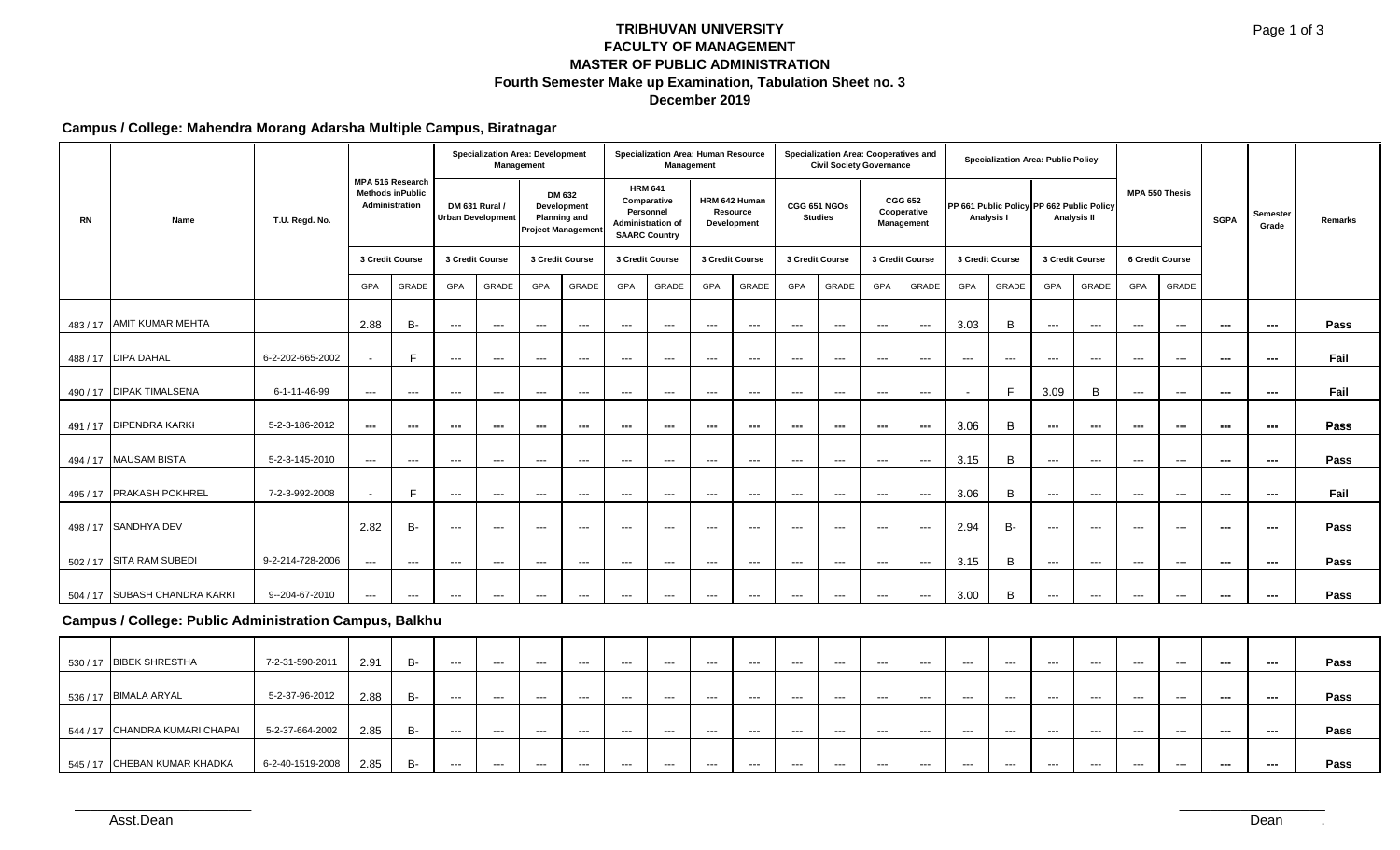### **TRIBHUVAN UNIVERSITY FACULTY OF MANAGEMENT MASTER OF PUBLIC ADMINISTRATION Fourth Semester Make up Examination, Tabulation Sheet no. 3 December 2019**

# **Campus / College: Mahendra Morang Adarsha Multiple Campus, Biratnagar**

|    |                                                        | T.U. Regd. No.   |                                                               |               |                                                   |               | <b>Specialization Area: Development</b><br>Management                     |                      |                                                                                                | Specialization Area: Human Resource | Management                               |                                          | Specialization Area: Cooperatives and<br><b>Civil Society Governance</b> |                                        |                                             |                          |                                                         | Specialization Area: Public Policy |                                          |                                        |                        |                      |                          |                          |         |
|----|--------------------------------------------------------|------------------|---------------------------------------------------------------|---------------|---------------------------------------------------|---------------|---------------------------------------------------------------------------|----------------------|------------------------------------------------------------------------------------------------|-------------------------------------|------------------------------------------|------------------------------------------|--------------------------------------------------------------------------|----------------------------------------|---------------------------------------------|--------------------------|---------------------------------------------------------|------------------------------------|------------------------------------------|----------------------------------------|------------------------|----------------------|--------------------------|--------------------------|---------|
| RN | Name                                                   |                  | MPA 516 Research<br><b>Methods inPublic</b><br>Administration |               | <b>DM 631 Rural /</b><br><b>Urban Development</b> |               | DM 632<br>Development<br><b>Planning and</b><br><b>Project Management</b> |                      | <b>HRM 641</b><br>Comparative<br>Personnel<br><b>Administration of</b><br><b>SAARC Country</b> |                                     | HRM 642 Human<br>Resource<br>Development |                                          | CGG 651 NGOs<br><b>Studies</b>                                           |                                        | <b>CGG 652</b><br>Cooperative<br>Management |                          | PP 661 Public Policy PP 662 Public Policy<br>Analysis I |                                    | Analysis II                              |                                        |                        | MPA 550 Thesis       | <b>SGPA</b>              | Semester<br>Grade        | Remarks |
|    |                                                        |                  | 3 Credit Course                                               |               | 3 Credit Course                                   |               | 3 Credit Course                                                           |                      |                                                                                                | 3 Credit Course                     |                                          | 3 Credit Course                          | 3 Credit Course                                                          |                                        | 3 Credit Course                             |                          | 3 Credit Course                                         |                                    |                                          | 3 Credit Course                        |                        | 6 Credit Course      |                          |                          |         |
|    |                                                        |                  | GPA                                                           | GRADE         | GPA                                               | GRADE         | GPA                                                                       | GRADE                | GPA                                                                                            | GRADE                               | GPA                                      | GRADE                                    | GPA                                                                      | GRADE                                  | GPA                                         | GRADE                    | GPA                                                     | GRADE                              | GPA                                      | GRADE                                  | GPA                    | GRADE                |                          |                          |         |
|    | 483 / 17 AMIT KUMAR MEHTA                              |                  | 2.88                                                          | <b>B-</b>     | $\sim$ $\sim$ $\sim$                              | $\sim$        | $\sim$ $\sim$ $\sim$                                                      | $\sim$ $\sim$        | $--$                                                                                           | $\sim$ $\sim$                       | $\sim$ $\sim$                            | $\scriptstyle\cdots\scriptstyle\cdots$   | $\hspace{0.1em} \ldots \hspace{0.1em}$                                   | $\hspace{0.05cm} \ldots$               | $\sim$                                      | $\sim$ $\sim$            | 3.03                                                    | B                                  | $\hspace{0.05cm} \ldots \hspace{0.05cm}$ | $\sim$ $\sim$                          | $\sim$ $\sim$ $\sim$   | $\sim$ $\sim$ $\sim$ | $\hspace{0.05cm} \cdots$ | ---                      | Pass    |
|    | 488 / 17 DIPA DAHAL                                    | 6-2-202-665-2002 | $\sim$                                                        | F             | $\sim$ $\sim$ $\sim$                              | $\sim$        | $\sim$ $\sim$ $\sim$                                                      | $\sim$ $\sim$ $\sim$ | $\sim$ $\sim$                                                                                  | $\sim$ $\sim$                       | $\sim$ $\sim$                            | $\sim$ $\sim$                            | $\sim$ $\sim$                                                            | $\sim$ $\sim$                          | $\sim$                                      | $\sim$ $\sim$            | $\sim$ $\sim$                                           | $\sim$ $\sim$                      | $\sim$ $\sim$                            | $\sim$ $\sim$ $\sim$                   | $\sim$ $\sim$ $\sim$   | $\sim$ $\sim$ $\sim$ | $\sim$                   | $---$                    | Fail    |
|    | 490 / 17 DIPAK TIMALSENA                               | 6-1-11-46-99     | $\sim$                                                        | $\sim$        | $\sim$ $\sim$ $\sim$                              | $\sim$        | $\sim$ $\sim$                                                             | $\sim$ $\sim$ $\sim$ | $\sim$ $\sim$ $\sim$                                                                           | $\sim$ $\sim$                       | $\sim$ $\sim$                            | $\hspace{0.05cm} \ldots \hspace{0.05cm}$ | $\sim$ $\sim$                                                            | $\scriptstyle\cdots\scriptstyle\cdots$ | $\sim$                                      | $\sim$ $\sim$            |                                                         | F                                  | 3.09                                     | B                                      | $\sim$                 | $\sim$ $\sim$        | $\hspace{0.05cm} \cdots$ | $\hspace{0.05cm} \ldots$ | Fail    |
|    | 491 / 17 DIPENDRA KARKI                                | 5-2-3-186-2012   | $\qquad \qquad \cdots$                                        | $\sim$        | $\sim$ $\sim$ $\sim$                              | $\sim$        | $\sim$ $\sim$ $\sim$                                                      | $\sim$ $\sim$        | $--$                                                                                           | $\sim$ $\sim$                       | $\sim$ $\sim$                            | $\qquad \qquad \cdots$                   | $\hspace{0.1em} \ldots \hspace{0.1em}$                                   | $\hspace{0.05cm} \ldots$               | $\sim$ $\sim$                               | $\sim$ $\sim$            | 3.06                                                    | B                                  | $\scriptstyle\cdots\scriptstyle\cdots$   | $\sim$ $\sim$                          | $\sim$ $\sim$          | $\sim$ $\sim$ $\sim$ | $\hspace{0.05cm} \cdots$ | $\hspace{0.05cm} \cdots$ | Pass    |
|    | 494 / 17 MAUSAM BISTA                                  | 5-2-3-145-2010   | $\qquad \qquad \cdots$                                        | $\sim$ $\sim$ | $\sim$ $\sim$ $\sim$                              | $\sim$ $\sim$ | $\sim$ $\sim$                                                             | $\sim$ $\sim$ $\sim$ | $\sim$ $\sim$                                                                                  | $\sim$ $\sim$                       | $\sim$ $\sim$                            | $\qquad \qquad \cdots$                   | $\sim$ $\sim$                                                            | $\sim$ $\sim$                          | $\sim$                                      | $\hspace{0.05cm} \ldots$ | 3.15                                                    | B                                  | $\sim$ $\sim$ $\sim$                     | $\sim$ $\sim$                          | $\sim$ $\sim$          | $\sim$ $\sim$ $\sim$ | $---$                    | $\hspace{0.05cm} \ldots$ | Pass    |
|    | 495 / 17 PRAKASH POKHREL                               | 7-2-3-992-2008   | $\overline{\phantom{a}}$                                      | F             | $\sim$ $\sim$ $\sim$                              | $\sim$ $\sim$ | $\sim$ $\sim$                                                             | $\sim$ $\sim$ $\sim$ | $\sim$ $\sim$ $\sim$                                                                           | $\sim$ $\sim$                       | $\sim$                                   | $\qquad \qquad \cdots$                   | $\sim$ $\sim$                                                            | $\sim$ $\sim$                          | $\sim$                                      | $\sim$ $\sim$            | 3.06                                                    | B                                  | $\sim$ $\sim$                            | $\sim$ $\sim$ $\sim$                   | $\sim$ $\sim$          | $\sim$ $\sim$ $\sim$ | $\sim$                   | $--$                     | Fail    |
|    | 498 / 17 SANDHYA DEV                                   |                  | 2.82                                                          | <b>B-</b>     | $\sim$ $\sim$ $\sim$                              | $\sim$        | $\sim$ $\sim$                                                             | $\scriptstyle\cdots$ | $\scriptstyle\cdots\scriptstyle\cdots$                                                         | $\scriptstyle\cdots$                | $\hspace{0.05cm} \ldots$                 | $\qquad \qquad \cdots$                   | $\hspace{0.1em} \ldots \hspace{0.1em}$                                   | $\scriptstyle\cdots\scriptstyle\cdots$ | $\sim$                                      | $\hspace{0.05cm} \ldots$ | 2.94                                                    | <b>B-</b>                          | $\scriptstyle\cdots$                     | $\scriptstyle\cdots\scriptstyle\cdots$ | $\qquad \qquad \cdots$ | $\sim$ $\sim$ $\sim$ | $\hspace{0.05cm} \cdots$ | $\hspace{0.05cm} \ldots$ | Pass    |
|    | 502 / 17 SITA RAM SUBEDI                               | 9-2-214-728-2006 | $\sim$ $\sim$                                                 | $\sim$        | $\sim$ $\sim$ $\sim$                              | $\sim$ $\sim$ | $\sim$ $\sim$                                                             | $\sim$ $\sim$ $\sim$ | $\sim$ $\sim$                                                                                  | $\sim$ $\sim$                       | $\sim$                                   | $\sim$ $\sim$                            | $\sim$ $\sim$                                                            | $\sim$ $\sim$                          | $\sim$                                      | $\sim$ $\sim$            | 3.15                                                    | B                                  | $\sim$ $\sim$ $\sim$                     | $\sim$ $\sim$ $\sim$                   | $\sim$ $\sim$          | $\sim$ $\sim$ $\sim$ | $\hspace{0.05cm} \ldots$ | $---$                    | Pass    |
|    | 504 / 17 SUBASH CHANDRA KARKI                          | 9--204-67-2010   | $\sim$                                                        | $\sim$ $\sim$ | $\sim$ $\sim$ $\sim$                              | $\sim$ $\sim$ | $\sim$ $\sim$                                                             | $\sim$ $\sim$        | $\sim$ $\sim$ $\sim$                                                                           | $\sim$ $\sim$ $\sim$                | $\hspace{0.05cm} \ldots$                 | $\frac{1}{2}$                            | $\sim$ $\sim$                                                            | $\scriptstyle\cdots\scriptstyle\cdots$ | $\sim$                                      | $\sim$ $\sim$            | 3.00                                                    | $\, {\bf B}$                       | $\frac{1}{2}$                            | $\sim$ $\sim$ $\sim$                   | $\sim$ $\sim$ $\sim$   | $\sim$ $\sim$        | $\hspace{0.05cm} \ldots$ | ---                      | Pass    |
|    | Campus / College: Public Administration Campus, Balkhu |                  |                                                               |               |                                                   |               |                                                                           |                      |                                                                                                |                                     |                                          |                                          |                                                                          |                                        |                                             |                          |                                                         |                                    |                                          |                                        |                        |                      |                          |                          |         |
|    | 530 / 17 BIBEK SHRESTHA                                | 7-2-31-590-2011  | 2.91                                                          | <b>B-</b>     | $\sim$ $\sim$ $\sim$                              | $\sim$ $\sim$ | $\sim$ $\sim$ $\sim$                                                      | $\sim$ $\sim$        | $\sim$ $\sim$ $\sim$                                                                           | $\sim$ $\sim$ $\sim$                | $\sim$ $\sim$                            | $\sim$ $\sim$ $\sim$                     | $\sim$ $\sim$                                                            | $\sim$ $\sim$                          | $\sim$ $\sim$                               | $\sim$ $\sim$ $\sim$     | $\sim$ $\sim$ $\sim$                                    | $\sim$ $\sim$                      | $\sim$ $\sim$                            | $\sim$ $\sim$ $\sim$                   | $\sim$ $\sim$ $\sim$   | $\sim$ $\sim$ $\sim$ | $---$                    | $\hspace{0.05cm} \ldots$ | Pass    |
|    | 536 / 17 BIMALA ARYAL                                  | 5-2-37-96-2012   | 2.88                                                          | <b>B-</b>     | $\sim$ $\sim$ $\sim$                              | $\sim$ $\sim$ | $\sim$ $\sim$                                                             | $\sim$ $\sim$        | $\sim$ $\sim$                                                                                  | $\sim$                              | $\sim$ $\sim$                            | $\sim$ $\sim$                            | $\sim$ $\sim$                                                            | $\sim$ $\sim$                          | $\sim$                                      | $\sim$ $\sim$            | $\sim$ $\sim$                                           | $\sim$ $\sim$                      | $\sim$ $\sim$                            | $\sim$ $\sim$ $\sim$                   | $\sim$ $\sim$          | $\sim$ $\sim$        | $---$                    | $--$                     | Pass    |
|    | 544 / 17 CHANDRA KUMARI CHAPAI                         | 5-2-37-664-2002  | 2.85                                                          | <b>B-</b>     | $\sim$ $\sim$ $\sim$                              | $\sim$        | $\sim$ $\sim$                                                             | $\sim$ $\sim$        | $\sim$ $\sim$                                                                                  | $\sim$ $\sim$                       | $\sim$ $\sim$                            | $\qquad \qquad \cdots$                   | $\hspace{0.1em} \ldots \hspace{0.1em}$                                   | $\scriptstyle\cdots\scriptstyle\cdots$ | $\sim$ $\sim$                               | $\sim$ $\sim$            | $\sim$ $\sim$                                           | $\sim$ $\sim$                      | $\sim$ $\sim$                            | $\sim$ $\sim$                          | $\sim$ $\sim$ $\sim$   | $\sim$ $\sim$        | $---$                    | $---$                    | Pass    |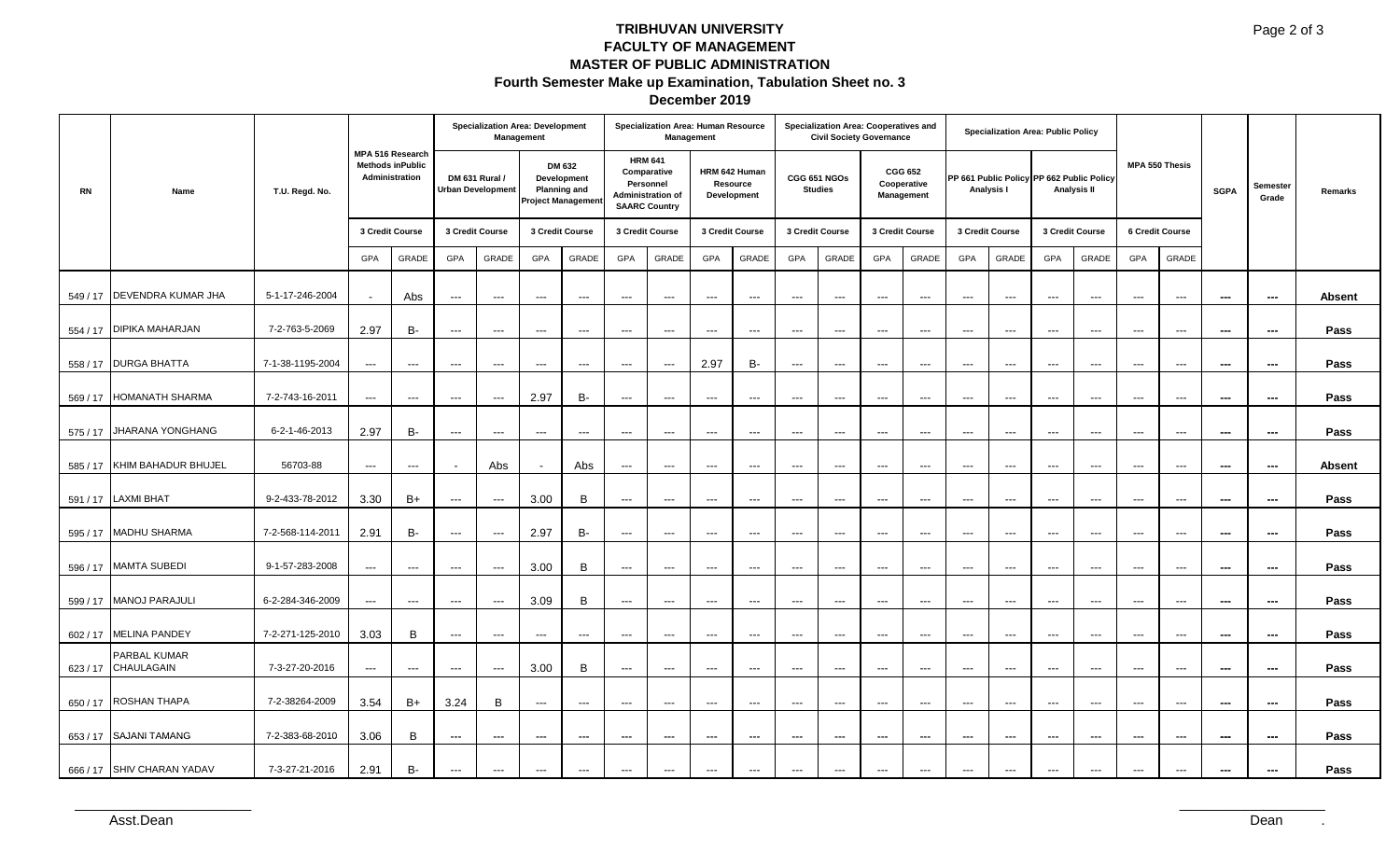### **TRIBHUVAN UNIVERSITY FACULTY OF MANAGEMENT MASTER OF PUBLIC ADMINISTRATION Fourth Semester Make up Examination, Tabulation Sheet no. 3 December 2019**

|           | Name                       | T.U. Regd. No.   | MPA 516 Research<br><b>Methods inPublic</b><br>Administration |               | <b>Specialization Area: Development</b><br>Management |                      |                                                                           |               |                                                                                                | Specialization Area: Human Resource<br>Management |                                                                                                                                                                                                                                                                                                                                                                                                                                                                            |                                          |                                          | Specialization Area: Cooperatives and<br><b>Civil Society Governance</b> |                                             |                          |                                                         | <b>Specialization Area: Public Policy</b> |                          |                        |                          |                           |                          |                          |               |
|-----------|----------------------------|------------------|---------------------------------------------------------------|---------------|-------------------------------------------------------|----------------------|---------------------------------------------------------------------------|---------------|------------------------------------------------------------------------------------------------|---------------------------------------------------|----------------------------------------------------------------------------------------------------------------------------------------------------------------------------------------------------------------------------------------------------------------------------------------------------------------------------------------------------------------------------------------------------------------------------------------------------------------------------|------------------------------------------|------------------------------------------|--------------------------------------------------------------------------|---------------------------------------------|--------------------------|---------------------------------------------------------|-------------------------------------------|--------------------------|------------------------|--------------------------|---------------------------|--------------------------|--------------------------|---------------|
| <b>RN</b> |                            |                  |                                                               |               | DM 631 Rural /<br><b>Urban Development</b>            |                      | DM 632<br>Development<br><b>Planning and</b><br><b>Project Management</b> |               | <b>HRM 641</b><br>Comparative<br>Personnel<br><b>Administration of</b><br><b>SAARC Country</b> |                                                   |                                                                                                                                                                                                                                                                                                                                                                                                                                                                            | HRM 642 Human<br>Resource<br>Development | CGG 651 NGOs<br><b>Studies</b>           |                                                                          | <b>CGG 652</b><br>Cooperative<br>Management |                          | PP 661 Public Policy PP 662 Public Policy<br>Analysis I |                                           | <b>Analysis II</b>       |                        |                          | MPA 550 Thesis            | <b>SGPA</b>              | Semester<br>Grade        | Remarks       |
|           |                            |                  | 3 Credit Course                                               |               | 3 Credit Course                                       |                      | 3 Credit Course                                                           |               | 3 Credit Course                                                                                |                                                   | 3 Credit Course                                                                                                                                                                                                                                                                                                                                                                                                                                                            |                                          | 3 Credit Course                          |                                                                          | 3 Credit Course                             |                          | 3 Credit Course                                         |                                           |                          | 3 Credit Course        |                          | 6 Credit Course           |                          |                          |               |
|           |                            |                  | GPA                                                           | GRADE         | GPA                                                   | GRADE                | GPA                                                                       | GRADE         | GPA                                                                                            | GRADE                                             | GPA                                                                                                                                                                                                                                                                                                                                                                                                                                                                        | GRADE                                    | GPA                                      | GRADE                                                                    | GPA                                         | GRADE                    | GPA                                                     | GRADE                                     | GPA                      | GRADE                  | <b>GPA</b>               | GRADE                     |                          |                          |               |
| 549 / 17  | <b>DEVENDRA KUMAR JHA</b>  | 5-1-17-246-2004  | $\sim$                                                        | Abs           | $\sim$ $\sim$ $\sim$                                  | $\cdots$             | $\sim$ $\sim$                                                             | $\sim$ $\sim$ | $\frac{1}{2}$                                                                                  | $\hspace{0.05cm} \ldots$                          | $\sim$                                                                                                                                                                                                                                                                                                                                                                                                                                                                     | $\hspace{0.05cm} \ldots$                 | $\hspace{0.05cm} \ldots \hspace{0.05cm}$ | $\hspace{0.05cm} \ldots$                                                 | $\qquad \qquad \cdots$                      | $\sim$                   | $\sim$ $\sim$                                           | $\sim$                                    | $\sim$ $\sim$            | $\sim$ $\sim$          | $\sim$ $\sim$            | $\scriptstyle \cdots$     | $\hspace{0.05cm} \ldots$ | ---                      | <b>Absent</b> |
|           | 554 / 17 DIPIKA MAHARJAN   | 7-2-763-5-2069   | 2.97                                                          | <b>B-</b>     | $   \,$                                               | $   \,$              | $\sim$ $\sim$                                                             | $\sim$ $\sim$ | $\sim$ $\sim$ $\sim$                                                                           | $\sim$ $\sim$                                     | $\sim$ $\sim$                                                                                                                                                                                                                                                                                                                                                                                                                                                              | $\sim$ $\sim$                            | $\sim$ $\sim$                            | $\sim$ $\sim$                                                            | $\sim$                                      | $\sim$ $\sim$            | $\sim$ $\sim$                                           | $\cdots$                                  | $\sim$ $\sim$            | $\sim$ $\sim$ $\sim$   | $\sim$ $\sim$            | $\sim$ $\sim$ $\sim$      | $---$                    | $---$                    | Pass          |
|           | 558 / 17 DURGA BHATTA      | 7-1-38-1195-2004 | $\sim$ $\sim$                                                 | $\sim$        | $\sim$ $\sim$ $\sim$                                  | $\sim$ $\sim$ $\sim$ | $\sim$ $\sim$                                                             | $\sim$ $\sim$ | $\sim$ $\sim$                                                                                  | $\sim$ $\sim$                                     | 2.97                                                                                                                                                                                                                                                                                                                                                                                                                                                                       | B-                                       | $\sim$ $\sim$                            | $\sim$                                                                   | $\sim$ $\sim$                               | $\sim$ $\sim$            | $\sim$ $\sim$                                           | $\qquad \qquad \cdots$                    | $\sim$ $\sim$            | $\sim$ $\sim$ $\sim$   | $\sim$ $\sim$            | $\qquad \qquad -\qquad -$ | $\hspace{0.05cm} \cdots$ | $\hspace{0.05cm} \cdots$ | Pass          |
| 569/17    | <b>HOMANATH SHARMA</b>     | 7-2-743-16-2011  | $\hspace{0.05cm} \ldots$                                      | $\sim$ $\sim$ | $\sim$ $\sim$ $\sim$                                  | $\cdots$             | 2.97                                                                      | В-            | $\sim$ $\sim$ $\sim$                                                                           | $\hspace{0.05cm} \ldots$                          | $\qquad \qquad \cdots$                                                                                                                                                                                                                                                                                                                                                                                                                                                     | $\hspace{0.05cm} \ldots$                 | $\hspace{0.05cm} \ldots \hspace{0.05cm}$ | $\hspace{0.05cm} \ldots$                                                 | $\qquad \qquad \cdots$                      | $\hspace{0.05cm} \ldots$ | $\sim$ $\sim$                                           | $\cdots$                                  | $\sim$ $\sim$ $\sim$     | $\qquad \qquad \cdots$ | $\sim$ $\sim$ $\sim$     | $\sim$ $\sim$ $\sim$      | $\hspace{0.05cm} \ldots$ | ---                      | Pass          |
|           | 575 / 17 JHARANA YONGHANG  | 6-2-1-46-2013    | 2.97                                                          | B-            | $\sim$ $\sim$ $\sim$                                  | $\cdots$             | $\sim$ $\sim$                                                             | $\sim$        | $\sim$ $\sim$ $\sim$                                                                           | $\hspace{0.05cm} \ldots \hspace{0.05cm}$          | $\frac{1}{2} \left( \frac{1}{2} \right) \left( \frac{1}{2} \right) \left( \frac{1}{2} \right) \left( \frac{1}{2} \right) \left( \frac{1}{2} \right) \left( \frac{1}{2} \right) \left( \frac{1}{2} \right) \left( \frac{1}{2} \right) \left( \frac{1}{2} \right) \left( \frac{1}{2} \right) \left( \frac{1}{2} \right) \left( \frac{1}{2} \right) \left( \frac{1}{2} \right) \left( \frac{1}{2} \right) \left( \frac{1}{2} \right) \left( \frac{1}{2} \right) \left( \frac$ | $\hspace{0.05cm} \ldots$                 | $\sim$ $\sim$ $\sim$                     | $\hspace{0.05cm} \ldots$                                                 | $\qquad \qquad \cdots$                      | $\sim$ $\sim$            | $\sim$ $\sim$                                           | $\cdots$                                  | $\sim$ $\sim$            | $\sim$ $\sim$          | $\sim$                   | $\sim$ $\sim$ $\sim$      | $\hspace{0.05cm} \ldots$ | ---                      | Pass          |
| 585 / 17  | KHIM BAHADUR BHUJEL        | 56703-88         | $\sim$ $\sim$                                                 | $\sim$ $\sim$ |                                                       | Abs                  | $\sim$                                                                    | Abs           | $\sim$ $\sim$ $\sim$                                                                           | $\hspace{0.05cm} \ldots \hspace{0.05cm}$          | $\frac{1}{2} \left( \frac{1}{2} \right) \left( \frac{1}{2} \right) \left( \frac{1}{2} \right) \left( \frac{1}{2} \right) \left( \frac{1}{2} \right) \left( \frac{1}{2} \right) \left( \frac{1}{2} \right) \left( \frac{1}{2} \right) \left( \frac{1}{2} \right) \left( \frac{1}{2} \right) \left( \frac{1}{2} \right) \left( \frac{1}{2} \right) \left( \frac{1}{2} \right) \left( \frac{1}{2} \right) \left( \frac{1}{2} \right) \left( \frac{1}{2} \right) \left( \frac$ | $\sim$ $\sim$                            | $\sim$ $\sim$                            | $  \sim$                                                                 | $\qquad \qquad \cdots$                      | $\sim$ $\sim$            | $\sim$ $\sim$                                           | $\cdots$                                  | $\sim$ $\sim$            | $\sim$ $\sim$          | $\sim$ $\sim$ $\sim$     | $\sim$ $\sim$ $\sim$      | $\hspace{0.05cm} \ldots$ | $\hspace{0.05cm} \cdots$ | <b>Absent</b> |
|           | 591 / 17 LAXMI BHAT        | 9-2-433-78-2012  | 3.30                                                          | B+            | $\sim$ $\sim$ $\sim$                                  | $\sim$ $\sim$ $\sim$ | 3.00                                                                      | B             | $\sim$ $\sim$                                                                                  | $\sim$ $\sim$                                     | $\sim$ $\sim$                                                                                                                                                                                                                                                                                                                                                                                                                                                              | $\sim$ $\sim$                            | $\hspace{0.05cm} \ldots \hspace{0.05cm}$ | $\sim$                                                                   | $\sim$ $\sim$                               | $\sim$ $\sim$            | $\sim$                                                  | $\sim$ $\sim$                             | $\sim$ $\sim$ $\sim$     | $\sim$ $\sim$ $\sim$   | $\sim$ $\sim$            | $\sim$ $\sim$ $\sim$      | $--$                     | $\hspace{0.05cm} \cdots$ | Pass          |
| 595 / 17  | <b>MADHU SHARMA</b>        | 7-2-568-114-2011 | 2.91                                                          | B-            | $\sim$ $\sim$ $\sim$                                  | $\sim$ $\sim$ $\sim$ | 2.97                                                                      | <b>B-</b>     | $\hspace{0.05cm} \ldots$                                                                       | $\scriptstyle\cdots$                              | $\hspace{0.05cm} \ldots$                                                                                                                                                                                                                                                                                                                                                                                                                                                   | $\qquad \qquad \cdots$                   | $\hspace{0.05cm} \ldots$                 | $\hspace{0.05cm} \ldots$                                                 | $\hspace{0.05cm} \ldots$                    | $\sim$ $\sim$            | $\hspace{0.1em} \ldots \hspace{0.1em}$                  | $\scriptstyle\cdots$                      | $\hspace{0.05cm} \ldots$ | $\sim$ $\sim$ $\sim$   | $\hspace{0.05cm} \ldots$ | $\sim$ $\sim$ $\sim$      | $\hspace{0.05cm} \cdots$ | $\hspace{0.05cm} \cdots$ | Pass          |
| 596 / 17  | <b>MAMTA SUBEDI</b>        | 9-1-57-283-2008  | $\sim$ $\sim$                                                 | $\sim$ $\sim$ | $\sim$ $\sim$ $\sim$                                  | $\cdots$             | 3.00                                                                      | B             | $\cdots$                                                                                       | $\hspace{0.05cm} \ldots \hspace{0.05cm}$          | $\sim$                                                                                                                                                                                                                                                                                                                                                                                                                                                                     | $\hspace{0.05cm} \ldots$                 | $\hspace{0.05cm} \ldots$                 | $\hspace{0.05cm} \ldots$                                                 | $\qquad \qquad \cdots$                      | $\sim$                   | $\sim$ $\sim$                                           | $\cdots$                                  | $\sim$ $\sim$            | $\sim$ $\sim$          | $\sim$                   | $\sim$ $\sim$ $\sim$      | $\hspace{0.05cm} \cdots$ | $\hspace{0.05cm} \cdots$ | Pass          |
| 599 / 17  | <b>MANOJ PARAJULI</b>      | 6-2-284-346-2009 | $\sim$ $\sim$                                                 | $\sim$        | $\sim$ $\sim$ $\sim$                                  | $\sim$ $\sim$ $\sim$ | 3.09                                                                      | B             | $\sim$ $\sim$                                                                                  | $\sim$ $\sim$                                     | $\sim$ $\sim$                                                                                                                                                                                                                                                                                                                                                                                                                                                              | $\sim$ $\sim$                            | $\hspace{0.05cm} \ldots \hspace{0.05cm}$ | $\sim$                                                                   | $\cdots$                                    | $\sim$ $\sim$            | $\sim$ $\sim$                                           | $\cdots$                                  | $\sim$ $\sim$            | $\sim$ $\sim$          | $\cdots$                 | $\sim$ $\sim$ $\sim$      | $--$                     | ---                      | Pass          |
| 602/17    | <b>MELINA PANDEY</b>       | 7-2-271-125-2010 | 3.03                                                          | B             | $\sim$ $\sim$ $\sim$                                  | $\sim$ $\sim$ $\sim$ | $\sim$ $\sim$                                                             | $\sim$ $\sim$ | $\sim$ $\sim$ $\sim$                                                                           | $\sim$ $\sim$                                     | $\hspace{0.05cm} \ldots$                                                                                                                                                                                                                                                                                                                                                                                                                                                   | $\sim$ $\sim$                            | $\hspace{0.05cm} \ldots \hspace{0.05cm}$ | $\sim$                                                                   | $\sim$ $\sim$                               | $\sim$ $\sim$            | $\sim$ $\sim$                                           | $\cdots$                                  | $\sim$ $\sim$            | $\sim$ $\sim$          | $\sim$ $\sim$ $\sim$     | $\sim$ $\sim$ $\sim$      | ---                      | $\hspace{0.05cm} \cdots$ | Pass          |
| 623/17    | PARBAL KUMAR<br>CHAULAGAIN | 7-3-27-20-2016   | $\sim$ $\sim$                                                 | $\sim$ $\sim$ | $\sim$ $\sim$ $\sim$                                  | $\cdots$             | 3.00                                                                      | B             | $\cdots$                                                                                       | $\hspace{0.05cm} \ldots \hspace{0.05cm}$          | $\qquad \qquad \cdots$                                                                                                                                                                                                                                                                                                                                                                                                                                                     | $\hspace{0.05cm} \ldots$                 | $\hspace{0.05cm} \ldots \hspace{0.05cm}$ | $\sim$ $\sim$                                                            | $\cdots$                                    | $\hspace{0.05cm} \ldots$ | $\sim$ $\sim$                                           | $\cdots$                                  | $\sim$ $\sim$            | $\sim$ $\sim$          | $\sim$ $\sim$ $\sim$     | $\cdots$                  | ---                      | $---$                    | Pass          |
| 650/17    | <b>ROSHAN THAPA</b>        | 7-2-38264-2009   | 3.54                                                          | $B+$          | 3.24                                                  | B                    | $\sim$ $\sim$                                                             | $\sim$ $\sim$ | $\cdots$                                                                                       | $\sim$ $\sim$                                     | $\sim$ $\sim$                                                                                                                                                                                                                                                                                                                                                                                                                                                              | $\sim$ $\sim$                            | $\hspace{0.05cm} \ldots \hspace{0.05cm}$ | $\sim$ $\sim$                                                            | $\cdots$                                    | $\sim$ $\sim$            | $\sim$ $\sim$                                           | $\cdots$                                  | $\sim$ $\sim$            | $\sim$ $\sim$          | $\sim$ $\sim$ $\sim$     | $\sim$ $\sim$             | $--$                     | $---$                    | Pass          |
|           | 653 / 17 SAJANI TAMANG     | 7-2-383-68-2010  | 3.06                                                          | B             | $ -$                                                  | $\cdots$             | $\sim$ $\sim$                                                             | $\sim$ $\sim$ | $\sim$ $\sim$                                                                                  | $\sim$ $\sim$                                     | $\frac{1}{2} \left( \frac{1}{2} \right) \left( \frac{1}{2} \right) \left( \frac{1}{2} \right) \left( \frac{1}{2} \right) \left( \frac{1}{2} \right) \left( \frac{1}{2} \right) \left( \frac{1}{2} \right) \left( \frac{1}{2} \right) \left( \frac{1}{2} \right) \left( \frac{1}{2} \right) \left( \frac{1}{2} \right) \left( \frac{1}{2} \right) \left( \frac{1}{2} \right) \left( \frac{1}{2} \right) \left( \frac{1}{2} \right) \left( \frac{1}{2} \right) \left( \frac$ | $\sim$ $\sim$                            | $\sim$ $\sim$                            | $---$                                                                    | $\overline{\phantom{a}}$                    | $\frac{1}{2}$            | $\sim$                                                  | $\qquad \qquad -$                         | $\sim$ $\sim$            | $\sim$ $\sim$          | $\sim$ $\sim$            | $\sim$ $\sim$ $\sim$      | $\hspace{0.05cm} \ldots$ | $\overline{\phantom{a}}$ | Pass          |
|           | 666 / 17 SHIV CHARAN YADAV | 7-3-27-21-2016   | 2.91                                                          | <b>B-</b>     | $\sim$ $\sim$ $\sim$                                  | $\cdots$             | $\sim$ $\sim$                                                             | $\sim$ $\sim$ | $\sim$ $\sim$                                                                                  | $\sim$ $\sim$                                     | $\qquad \qquad \cdots$                                                                                                                                                                                                                                                                                                                                                                                                                                                     | $\sim$ $\sim$                            | $\sim$ $\sim$                            | $\sim$ $\sim$                                                            | $\sim$ $\sim$                               | $\sim$ $\sim$            | $\sim$ $\sim$                                           | $\cdots$                                  | $\sim$ $\sim$            | $\sim$ $\sim$ $\sim$   | $\sim$ $\sim$            | $\sim$ $\sim$ $\sim$      | $\hspace{0.05cm} \ldots$ | $\hspace{0.05cm} \ldots$ | Pass          |